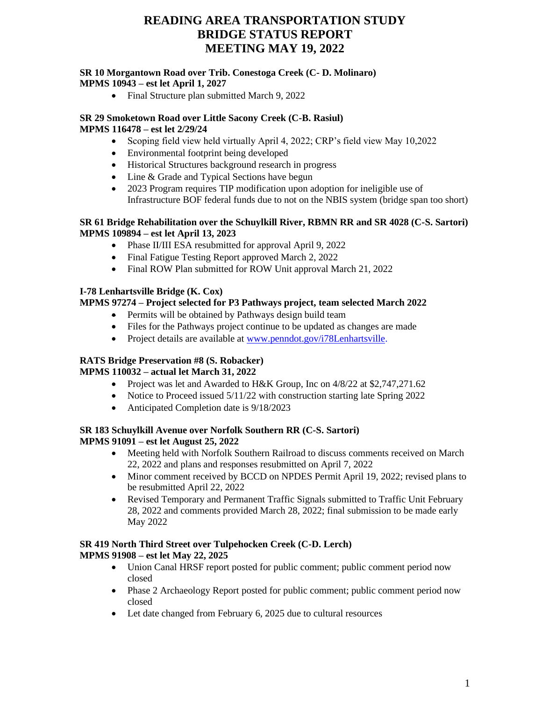#### **SR 10 Morgantown Road over Trib. Conestoga Creek (C- D. Molinaro) MPMS 10943 – est let April 1, 2027**

• Final Structure plan submitted March 9, 2022

#### **SR 29 Smoketown Road over Little Sacony Creek (C-B. Rasiul) MPMS 116478 – est let 2/29/24**

- Scoping field view held virtually April 4, 2022; CRP's field view May 10,2022
- Environmental footprint being developed
- Historical Structures background research in progress
- Line & Grade and Typical Sections have begun
- 2023 Program requires TIP modification upon adoption for ineligible use of Infrastructure BOF federal funds due to not on the NBIS system (bridge span too short)

### **SR 61 Bridge Rehabilitation over the Schuylkill River, RBMN RR and SR 4028 (C-S. Sartori) MPMS 109894 – est let April 13, 2023**

- Phase II/III ESA resubmitted for approval April 9, 2022
- Final Fatigue Testing Report approved March 2, 2022
- Final ROW Plan submitted for ROW Unit approval March 21, 2022

## **I-78 Lenhartsville Bridge (K. Cox)**

### **MPMS 97274 – Project selected for P3 Pathways project, team selected March 2022**

- Permits will be obtained by Pathways design build team
- Files for the Pathways project continue to be updated as changes are made
- Project details are available at [www.penndot.gov/i78Lenhartsville.](http://www.penndot.gov/i78Lenhartsville)

## **RATS Bridge Preservation #8 (S. Robacker)**

#### **MPMS 110032 – actual let March 31, 2022**

- Project was let and Awarded to H&K Group, Inc on  $4/8/22$  at \$2,747,271.62
- Notice to Proceed issued  $5/11/22$  with construction starting late Spring 2022
- Anticipated Completion date is  $9/18/2023$

### **SR 183 Schuylkill Avenue over Norfolk Southern RR (C-S. Sartori) MPMS 91091 – est let August 25, 2022**

- Meeting held with Norfolk Southern Railroad to discuss comments received on March 22, 2022 and plans and responses resubmitted on April 7, 2022
- Minor comment received by BCCD on NPDES Permit April 19, 2022; revised plans to be resubmitted April 22, 2022
- Revised Temporary and Permanent Traffic Signals submitted to Traffic Unit February 28, 2022 and comments provided March 28, 2022; final submission to be made early May 2022

#### **SR 419 North Third Street over Tulpehocken Creek (C-D. Lerch) MPMS 91908 – est let May 22, 2025**

- Union Canal HRSF report posted for public comment; public comment period now closed
- Phase 2 Archaeology Report posted for public comment; public comment period now closed
- Let date changed from February 6, 2025 due to cultural resources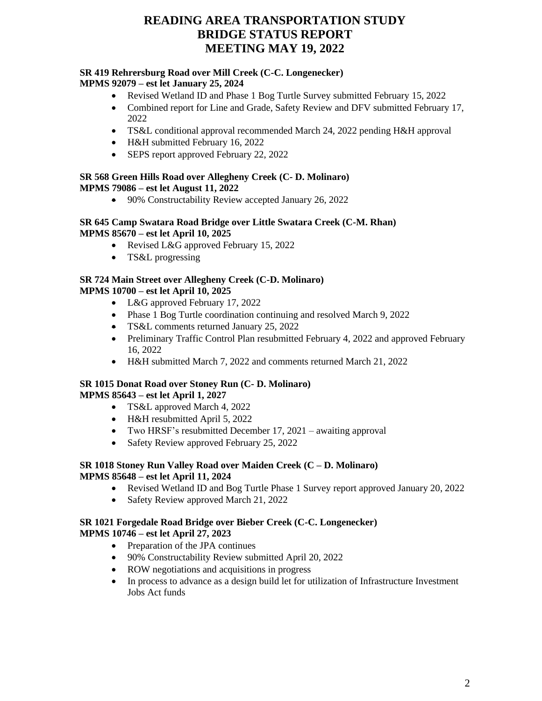#### **SR 419 Rehrersburg Road over Mill Creek (C-C. Longenecker) MPMS 92079 – est let January 25, 2024**

- Revised Wetland ID and Phase 1 Bog Turtle Survey submitted February 15, 2022
- Combined report for Line and Grade, Safety Review and DFV submitted February 17, 2022
- TS&L conditional approval recommended March 24, 2022 pending H&H approval
- H&H submitted February 16, 2022
- SEPS report approved February 22, 2022

# **SR 568 Green Hills Road over Allegheny Creek (C- D. Molinaro)**

**MPMS 79086 – est let August 11, 2022**

• 90% Constructability Review accepted January 26, 2022

#### **SR 645 Camp Swatara Road Bridge over Little Swatara Creek (C-M. Rhan) MPMS 85670 – est let April 10, 2025**

- Revised L&G approved February 15, 2022
- TS&L progressing

#### **SR 724 Main Street over Allegheny Creek (C-D. Molinaro) MPMS 10700 – est let April 10, 2025**

- L&G approved February 17, 2022
- Phase 1 Bog Turtle coordination continuing and resolved March 9, 2022
- TS&L comments returned January 25, 2022
- Preliminary Traffic Control Plan resubmitted February 4, 2022 and approved February 16, 2022
- H&H submitted March 7, 2022 and comments returned March 21, 2022

### **SR 1015 Donat Road over Stoney Run (C- D. Molinaro) MPMS 85643 – est let April 1, 2027**

- TS&L approved March 4, 2022
- H&H resubmitted April 5, 2022
- Two HRSF's resubmitted December 17, 2021 awaiting approval
- Safety Review approved February 25, 2022

### **SR 1018 Stoney Run Valley Road over Maiden Creek (C – D. Molinaro) MPMS 85648 – est let April 11, 2024**

- Revised Wetland ID and Bog Turtle Phase 1 Survey report approved January 20, 2022
- Safety Review approved March 21, 2022

#### **SR 1021 Forgedale Road Bridge over Bieber Creek (C-C. Longenecker) MPMS 10746 – est let April 27, 2023**

- Preparation of the JPA continues
- 90% Constructability Review submitted April 20, 2022
- ROW negotiations and acquisitions in progress
- In process to advance as a design build let for utilization of Infrastructure Investment Jobs Act funds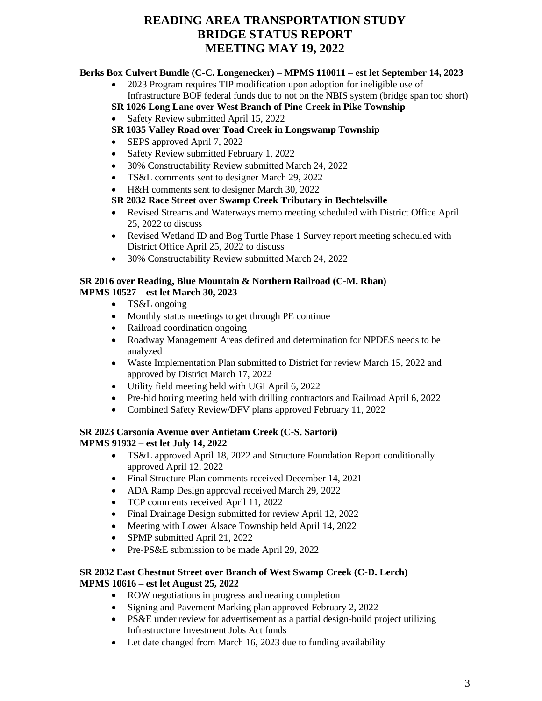## **Berks Box Culvert Bundle (C-C. Longenecker) – MPMS 110011 – est let September 14, 2023**

• 2023 Program requires TIP modification upon adoption for ineligible use of Infrastructure BOF federal funds due to not on the NBIS system (bridge span too short)

## **SR 1026 Long Lane over West Branch of Pine Creek in Pike Township**

- Safety Review submitted April 15, 2022
- **SR 1035 Valley Road over Toad Creek in Longswamp Township**
- SEPS approved April 7, 2022
- Safety Review submitted February 1, 2022
- 30% Constructability Review submitted March 24, 2022
- TS&L comments sent to designer March 29, 2022
- H&H comments sent to designer March 30, 2022

### **SR 2032 Race Street over Swamp Creek Tributary in Bechtelsville**

- Revised Streams and Waterways memo meeting scheduled with District Office April 25, 2022 to discuss
- Revised Wetland ID and Bog Turtle Phase 1 Survey report meeting scheduled with District Office April 25, 2022 to discuss
- 30% Constructability Review submitted March 24, 2022

#### **SR 2016 over Reading, Blue Mountain & Northern Railroad (C-M. Rhan) MPMS 10527 – est let March 30, 2023**

- TS&L ongoing
- Monthly status meetings to get through PE continue
- Railroad coordination ongoing
- Roadway Management Areas defined and determination for NPDES needs to be analyzed
- Waste Implementation Plan submitted to District for review March 15, 2022 and approved by District March 17, 2022
- Utility field meeting held with UGI April 6, 2022
- Pre-bid boring meeting held with drilling contractors and Railroad April 6, 2022
- Combined Safety Review/DFV plans approved February 11, 2022

#### **SR 2023 Carsonia Avenue over Antietam Creek (C-S. Sartori) MPMS 91932 – est let July 14, 2022**

- TS&L approved April 18, 2022 and Structure Foundation Report conditionally approved April 12, 2022
- Final Structure Plan comments received December 14, 2021
- ADA Ramp Design approval received March 29, 2022
- TCP comments received April 11, 2022
- Final Drainage Design submitted for review April 12, 2022
- Meeting with Lower Alsace Township held April 14, 2022
- SPMP submitted April 21, 2022
- Pre-PS&E submission to be made April 29, 2022

### **SR 2032 East Chestnut Street over Branch of West Swamp Creek (C-D. Lerch) MPMS 10616 – est let August 25, 2022**

- ROW negotiations in progress and nearing completion
- Signing and Pavement Marking plan approved February 2, 2022
- PS&E under review for advertisement as a partial design-build project utilizing Infrastructure Investment Jobs Act funds
- Let date changed from March 16, 2023 due to funding availability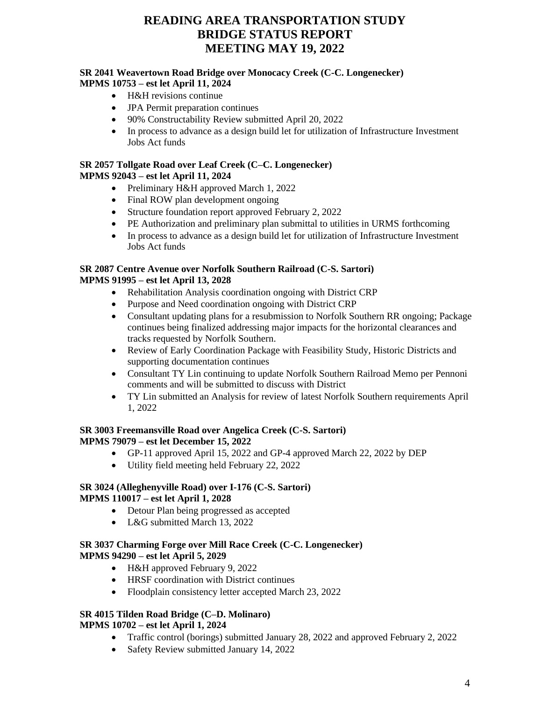#### **SR 2041 Weavertown Road Bridge over Monocacy Creek (C-C. Longenecker) MPMS 10753 – est let April 11, 2024**

- H&H revisions continue
- JPA Permit preparation continues
- 90% Constructability Review submitted April 20, 2022
- In process to advance as a design build let for utilization of Infrastructure Investment Jobs Act funds

#### **SR 2057 Tollgate Road over Leaf Creek (C–C. Longenecker) MPMS 92043 – est let April 11, 2024**

- Preliminary H&H approved March 1, 2022
- Final ROW plan development ongoing
- Structure foundation report approved February 2, 2022
- PE Authorization and preliminary plan submittal to utilities in URMS forthcoming
- In process to advance as a design build let for utilization of Infrastructure Investment Jobs Act funds

## **SR 2087 Centre Avenue over Norfolk Southern Railroad (C-S. Sartori)**

## **MPMS 91995 – est let April 13, 2028**

- Rehabilitation Analysis coordination ongoing with District CRP
- Purpose and Need coordination ongoing with District CRP
- Consultant updating plans for a resubmission to Norfolk Southern RR ongoing; Package continues being finalized addressing major impacts for the horizontal clearances and tracks requested by Norfolk Southern.
- Review of Early Coordination Package with Feasibility Study, Historic Districts and supporting documentation continues
- Consultant TY Lin continuing to update Norfolk Southern Railroad Memo per Pennoni comments and will be submitted to discuss with District
- TY Lin submitted an Analysis for review of latest Norfolk Southern requirements April 1, 2022

#### **SR 3003 Freemansville Road over Angelica Creek (C-S. Sartori) MPMS 79079 – est let December 15, 2022**

- GP-11 approved April 15, 2022 and GP-4 approved March 22, 2022 by DEP
- Utility field meeting held February 22, 2022

#### **SR 3024 (Alleghenyville Road) over I-176 (C-S. Sartori) MPMS 110017 – est let April 1, 2028**

- Detour Plan being progressed as accepted
- L&G submitted March 13, 2022

### **SR 3037 Charming Forge over Mill Race Creek (C-C. Longenecker) MPMS 94290 – est let April 5, 2029**

- H&H approved February 9, 2022
- HRSF coordination with District continues
- Floodplain consistency letter accepted March 23, 2022

## **SR 4015 Tilden Road Bridge (C–D. Molinaro)**

## **MPMS 10702 – est let April 1, 2024**

- Traffic control (borings) submitted January 28, 2022 and approved February 2, 2022
- Safety Review submitted January 14, 2022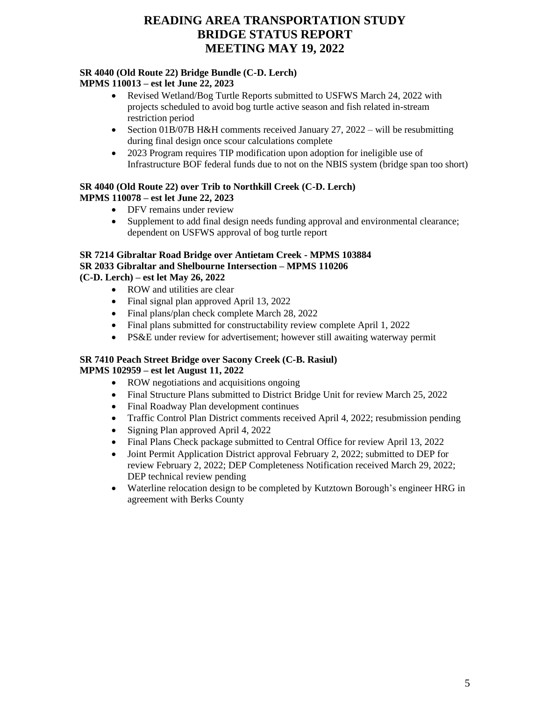## **SR 4040 (Old Route 22) Bridge Bundle (C-D. Lerch)**

## **MPMS 110013 – est let June 22, 2023**

- Revised Wetland/Bog Turtle Reports submitted to USFWS March 24, 2022 with projects scheduled to avoid bog turtle active season and fish related in-stream restriction period
- Section 01B/07B H&H comments received January 27, 2022 will be resubmitting during final design once scour calculations complete
- 2023 Program requires TIP modification upon adoption for ineligible use of Infrastructure BOF federal funds due to not on the NBIS system (bridge span too short)

## **SR 4040 (Old Route 22) over Trib to Northkill Creek (C-D. Lerch) MPMS 110078 – est let June 22, 2023**

- DFV remains under review
- Supplement to add final design needs funding approval and environmental clearance; dependent on USFWS approval of bog turtle report

## **SR 7214 Gibraltar Road Bridge over Antietam Creek - MPMS 103884 SR 2033 Gibraltar and Shelbourne Intersection – MPMS 110206**

**(C-D. Lerch) – est let May 26, 2022**

- ROW and utilities are clear
- Final signal plan approved April 13, 2022
- Final plans/plan check complete March 28, 2022
- Final plans submitted for constructability review complete April 1, 2022
- PS&E under review for advertisement; however still awaiting waterway permit

## **SR 7410 Peach Street Bridge over Sacony Creek (C-B. Rasiul)**

## **MPMS 102959 – est let August 11, 2022**

- ROW negotiations and acquisitions ongoing
- Final Structure Plans submitted to District Bridge Unit for review March 25, 2022
- Final Roadway Plan development continues
- Traffic Control Plan District comments received April 4, 2022; resubmission pending
- Signing Plan approved April 4, 2022
- Final Plans Check package submitted to Central Office for review April 13, 2022
- Joint Permit Application District approval February 2, 2022; submitted to DEP for review February 2, 2022; DEP Completeness Notification received March 29, 2022; DEP technical review pending
- Waterline relocation design to be completed by Kutztown Borough's engineer HRG in agreement with Berks County